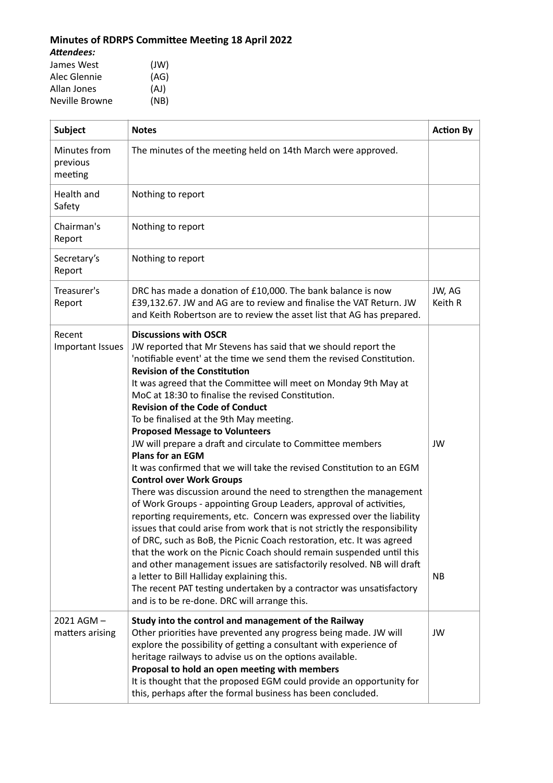## Minutes of RDRPS Committee Meeting 18 April 2022

*Attendees:*

James West (JW) Alec Glennie (AG)

Allan Jones (AJ)<br>Neville Browne (NB) Neville Browne

| <b>Subject</b>                      | <b>Notes</b>                                                                                                                                                                                                                                                                                                                                                                                                                                                                                                                                                                                                                                                                                                                                                                                                                                                                                                                                                                                                                                                                                                                                                                                                                                                                                                                                                                 | <b>Action By</b>  |
|-------------------------------------|------------------------------------------------------------------------------------------------------------------------------------------------------------------------------------------------------------------------------------------------------------------------------------------------------------------------------------------------------------------------------------------------------------------------------------------------------------------------------------------------------------------------------------------------------------------------------------------------------------------------------------------------------------------------------------------------------------------------------------------------------------------------------------------------------------------------------------------------------------------------------------------------------------------------------------------------------------------------------------------------------------------------------------------------------------------------------------------------------------------------------------------------------------------------------------------------------------------------------------------------------------------------------------------------------------------------------------------------------------------------------|-------------------|
| Minutes from<br>previous<br>meeting | The minutes of the meeting held on 14th March were approved.                                                                                                                                                                                                                                                                                                                                                                                                                                                                                                                                                                                                                                                                                                                                                                                                                                                                                                                                                                                                                                                                                                                                                                                                                                                                                                                 |                   |
| Health and<br>Safety                | Nothing to report                                                                                                                                                                                                                                                                                                                                                                                                                                                                                                                                                                                                                                                                                                                                                                                                                                                                                                                                                                                                                                                                                                                                                                                                                                                                                                                                                            |                   |
| Chairman's<br>Report                | Nothing to report                                                                                                                                                                                                                                                                                                                                                                                                                                                                                                                                                                                                                                                                                                                                                                                                                                                                                                                                                                                                                                                                                                                                                                                                                                                                                                                                                            |                   |
| Secretary's<br>Report               | Nothing to report                                                                                                                                                                                                                                                                                                                                                                                                                                                                                                                                                                                                                                                                                                                                                                                                                                                                                                                                                                                                                                                                                                                                                                                                                                                                                                                                                            |                   |
| Treasurer's<br>Report               | DRC has made a donation of £10,000. The bank balance is now<br>£39,132.67. JW and AG are to review and finalise the VAT Return. JW<br>and Keith Robertson are to review the asset list that AG has prepared.                                                                                                                                                                                                                                                                                                                                                                                                                                                                                                                                                                                                                                                                                                                                                                                                                                                                                                                                                                                                                                                                                                                                                                 | JW, AG<br>Keith R |
| Recent<br><b>Important Issues</b>   | <b>Discussions with OSCR</b><br>JW reported that Mr Stevens has said that we should report the<br>'notifiable event' at the time we send them the revised Constitution.<br><b>Revision of the Constitution</b><br>It was agreed that the Committee will meet on Monday 9th May at<br>MoC at 18:30 to finalise the revised Constitution.<br><b>Revision of the Code of Conduct</b><br>To be finalised at the 9th May meeting.<br><b>Proposed Message to Volunteers</b><br>JW will prepare a draft and circulate to Committee members<br><b>Plans for an EGM</b><br>It was confirmed that we will take the revised Constitution to an EGM<br><b>Control over Work Groups</b><br>There was discussion around the need to strengthen the management<br>of Work Groups - appointing Group Leaders, approval of activities,<br>reporting requirements, etc. Concern was expressed over the liability<br>issues that could arise from work that is not strictly the responsibility<br>of DRC, such as BoB, the Picnic Coach restoration, etc. It was agreed<br>that the work on the Picnic Coach should remain suspended until this<br>and other management issues are satisfactorily resolved. NB will draft<br>a letter to Bill Halliday explaining this.<br>The recent PAT testing undertaken by a contractor was unsatisfactory<br>and is to be re-done. DRC will arrange this. | JW<br><b>NB</b>   |
| 2021 AGM-<br>matters arising        | Study into the control and management of the Railway<br>Other priorities have prevented any progress being made. JW will<br>explore the possibility of getting a consultant with experience of<br>heritage railways to advise us on the options available.<br>Proposal to hold an open meeting with members<br>It is thought that the proposed EGM could provide an opportunity for<br>this, perhaps after the formal business has been concluded.                                                                                                                                                                                                                                                                                                                                                                                                                                                                                                                                                                                                                                                                                                                                                                                                                                                                                                                           | JW                |